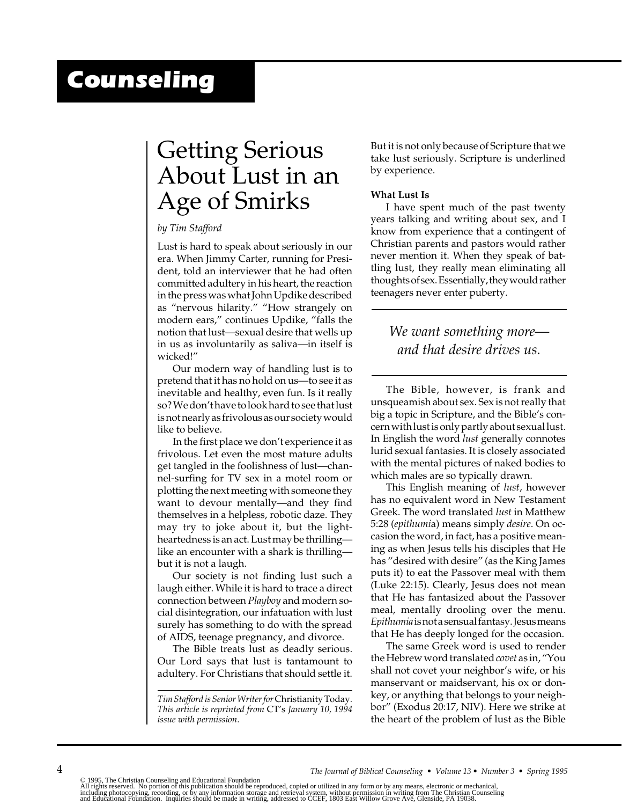# *Counseling*

## Getting Serious About Lust in an Age of Smirks

## *by Tim Stafford*

Lust is hard to speak about seriously in our era. When Jimmy Carter, running for President, told an interviewer that he had often committed adultery in his heart, the reaction in the press was what John Updike described as "nervous hilarity." "How strangely on modern ears," continues Updike, "falls the notion that lust—sexual desire that wells up in us as involuntarily as saliva—in itself is wicked!"

Our modern way of handling lust is to pretend that it has no hold on us—to see it as inevitable and healthy, even fun. Is it really so? We don't have to look hard to see that lust is not nearly as frivolous as our society would like to believe.

In the first place we don't experience it as frivolous. Let even the most mature adults get tangled in the foolishness of lust—channel-surfing for TV sex in a motel room or plotting the next meeting with someone they want to devour mentally—and they find themselves in a helpless, robotic daze. They may try to joke about it, but the lightheartedness is an act. Lust may be thrilling like an encounter with a shark is thrilling but it is not a laugh.

Our society is not finding lust such a laugh either. While it is hard to trace a direct connection between *Playboy* and modern social disintegration, our infatuation with lust surely has something to do with the spread of AIDS, teenage pregnancy, and divorce.

The Bible treats lust as deadly serious. Our Lord says that lust is tantamount to adultery. For Christians that should settle it. But it is not only because of Scripture that we take lust seriously. Scripture is underlined by experience.

### **What Lust Is**

I have spent much of the past twenty years talking and writing about sex, and I know from experience that a contingent of Christian parents and pastors would rather never mention it. When they speak of battling lust, they really mean eliminating all thoughts of sex. Essentially, they would rather teenagers never enter puberty.

## *We want something more and that desire drives us.*

The Bible, however, is frank and unsqueamish about sex. Sex is not really that big a topic in Scripture, and the Bible's concern with lust is only partly about sexual lust. In English the word *lust* generally connotes lurid sexual fantasies. It is closely associated with the mental pictures of naked bodies to which males are so typically drawn.

This English meaning of *lust*, however has no equivalent word in New Testament Greek. The word translated *lust* in Matthew 5:28 (*epithumi*a) means simply *desire*. On occasion the word, in fact, has a positive meaning as when Jesus tells his disciples that He has "desired with desire" (as the King James puts it) to eat the Passover meal with them (Luke 22:15). Clearly, Jesus does not mean that He has fantasized about the Passover meal, mentally drooling over the menu. *Epithumia* is not a sensual fantasy. Jesus means that He has deeply longed for the occasion.

The same Greek word is used to render the Hebrew word translated *covet* as in, "You shall not covet your neighbor's wife, or his manservant or maidservant, his ox or donkey, or anything that belongs to your neighbor" (Exodus 20:17, NIV). Here we strike at the heart of the problem of lust as the Bible

*Tim Stafford is Senior Writer for* Christianity Today. *This article is reprinted from* CT's *January 10, 1994 issue with permission*.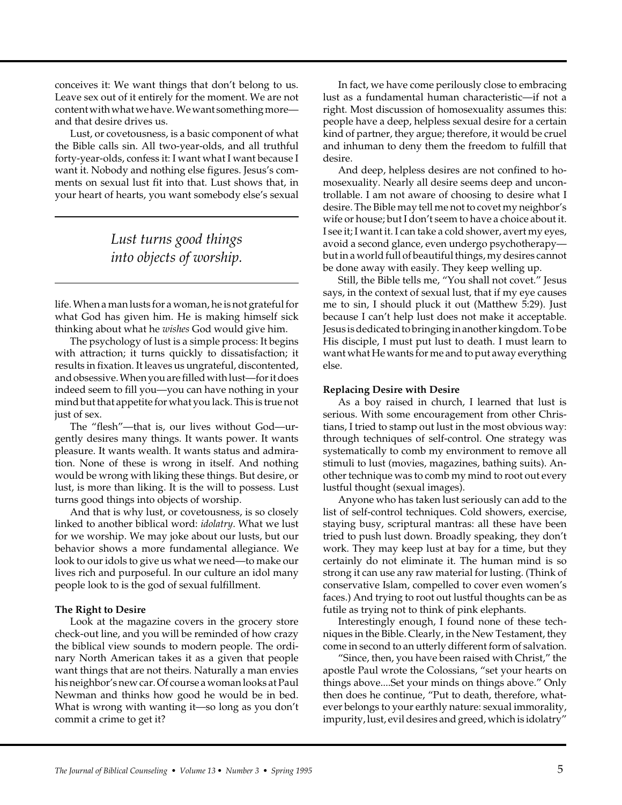conceives it: We want things that don't belong to us. Leave sex out of it entirely for the moment. We are not content with what we have. We want something more and that desire drives us.

Lust, or covetousness, is a basic component of what the Bible calls sin. All two-year-olds, and all truthful forty-year-olds, confess it: I want what I want because I want it. Nobody and nothing else figures. Jesus's comments on sexual lust fit into that. Lust shows that, in your heart of hearts, you want somebody else's sexual

> *Lust turns good things into objects of worship.*

life. When a man lusts for a woman, he is not grateful for what God has given him. He is making himself sick thinking about what he *wishes* God would give him.

The psychology of lust is a simple process: It begins with attraction; it turns quickly to dissatisfaction; it results in fixation. It leaves us ungrateful, discontented, and obsessive. When you are filled with lust—for it does indeed seem to fill you—you can have nothing in your mind but that appetite for what you lack. This is true not just of sex.

The "flesh"—that is, our lives without God—urgently desires many things. It wants power. It wants pleasure. It wants wealth. It wants status and admiration. None of these is wrong in itself. And nothing would be wrong with liking these things. But desire, or lust, is more than liking. It is the will to possess. Lust turns good things into objects of worship.

And that is why lust, or covetousness, is so closely linked to another biblical word: *idolatry*. What we lust for we worship. We may joke about our lusts, but our behavior shows a more fundamental allegiance. We look to our idols to give us what we need—to make our lives rich and purposeful. In our culture an idol many people look to is the god of sexual fulfillment.

## **The Right to Desire**

Look at the magazine covers in the grocery store check-out line, and you will be reminded of how crazy the biblical view sounds to modern people. The ordinary North American takes it as a given that people want things that are not theirs. Naturally a man envies his neighbor's new car. Of course a woman looks at Paul Newman and thinks how good he would be in bed. What is wrong with wanting it—so long as you don't commit a crime to get it?

In fact, we have come perilously close to embracing lust as a fundamental human characteristic—if not a right. Most discussion of homosexuality assumes this: people have a deep, helpless sexual desire for a certain kind of partner, they argue; therefore, it would be cruel and inhuman to deny them the freedom to fulfill that desire.

And deep, helpless desires are not confined to homosexuality. Nearly all desire seems deep and uncontrollable. I am not aware of choosing to desire what I desire. The Bible may tell me not to covet my neighbor's wife or house; but I don't seem to have a choice about it. I see it; I want it. I can take a cold shower, avert my eyes, avoid a second glance, even undergo psychotherapy but in a world full of beautiful things, my desires cannot be done away with easily. They keep welling up.

Still, the Bible tells me, "You shall not covet." Jesus says, in the context of sexual lust, that if my eye causes me to sin, I should pluck it out (Matthew 5:29). Just because I can't help lust does not make it acceptable. Jesus is dedicated to bringing in another kingdom. To be His disciple, I must put lust to death. I must learn to want what He wants for me and to put away everything else.

#### **Replacing Desire with Desire**

As a boy raised in church, I learned that lust is serious. With some encouragement from other Christians, I tried to stamp out lust in the most obvious way: through techniques of self-control. One strategy was systematically to comb my environment to remove all stimuli to lust (movies, magazines, bathing suits). Another technique was to comb my mind to root out every lustful thought (sexual images).

Anyone who has taken lust seriously can add to the list of self-control techniques. Cold showers, exercise, staying busy, scriptural mantras: all these have been tried to push lust down. Broadly speaking, they don't work. They may keep lust at bay for a time, but they certainly do not eliminate it. The human mind is so strong it can use any raw material for lusting. (Think of conservative Islam, compelled to cover even women's faces.) And trying to root out lustful thoughts can be as futile as trying not to think of pink elephants.

Interestingly enough, I found none of these techniques in the Bible. Clearly, in the New Testament, they come in second to an utterly different form of salvation.

"Since, then, you have been raised with Christ," the apostle Paul wrote the Colossians, "set your hearts on things above....Set your minds on things above." Only then does he continue, "Put to death, therefore, whatever belongs to your earthly nature: sexual immorality, impurity, lust, evil desires and greed, which is idolatry"